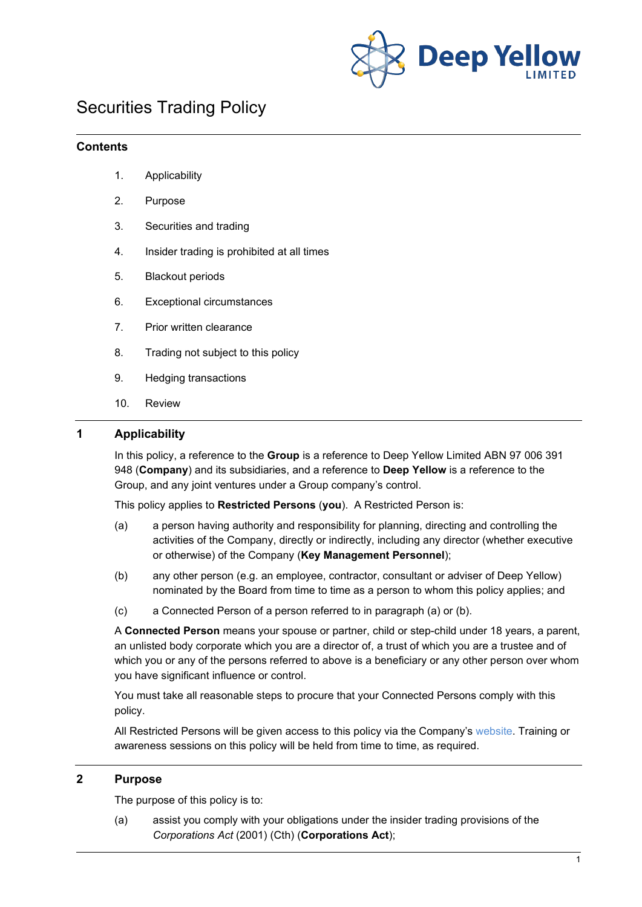

## Securities Trading Policy

#### **Contents**

- 1. Applicability
- 2. Purpose
- 3. Securities and trading
- 4. Insider trading is prohibited at all times
- 5. Blackout periods
- 6. Exceptional circumstances
- 7. Prior written clearance
- 8. Trading not subject to this policy
- 9. Hedging transactions
- 10. Review

### **1 Applicability**

In this policy, a reference to the **Group** is a reference to Deep Yellow Limited ABN 97 006 391 948 (**Company**) and its subsidiaries, and a reference to **Deep Yellow** is a reference to the Group, and any joint ventures under a Group company's control.

This policy applies to **Restricted Persons** (**you**). A Restricted Person is:

- (a) a person having authority and responsibility for planning, directing and controlling the activities of the Company, directly or indirectly, including any director (whether executive or otherwise) of the Company (**Key Management Personnel**);
- (b) any other person (e.g. an employee, contractor, consultant or adviser of Deep Yellow) nominated by the Board from time to time as a person to whom this policy applies; and
- (c) a Connected Person of a person referred to in paragraph (a) or (b).

A **Connected Person** means your spouse or partner, child or step-child under 18 years, a parent, an unlisted body corporate which you are a director of, a trust of which you are a trustee and of which you or any of the persons referred to above is a beneficiary or any other person over whom you have significant influence or control.

You must take all reasonable steps to procure that your Connected Persons comply with this policy.

All Restricted Persons will be given access to this policy via the Company's [website.](http://www.deepyellow.com.au/index.html) Training or awareness sessions on this policy will be held from time to time, as required.

#### **2 Purpose**

The purpose of this policy is to:

(a) assist you comply with your obligations under the insider trading provisions of the *Corporations Act* (2001) (Cth) (**Corporations Act**);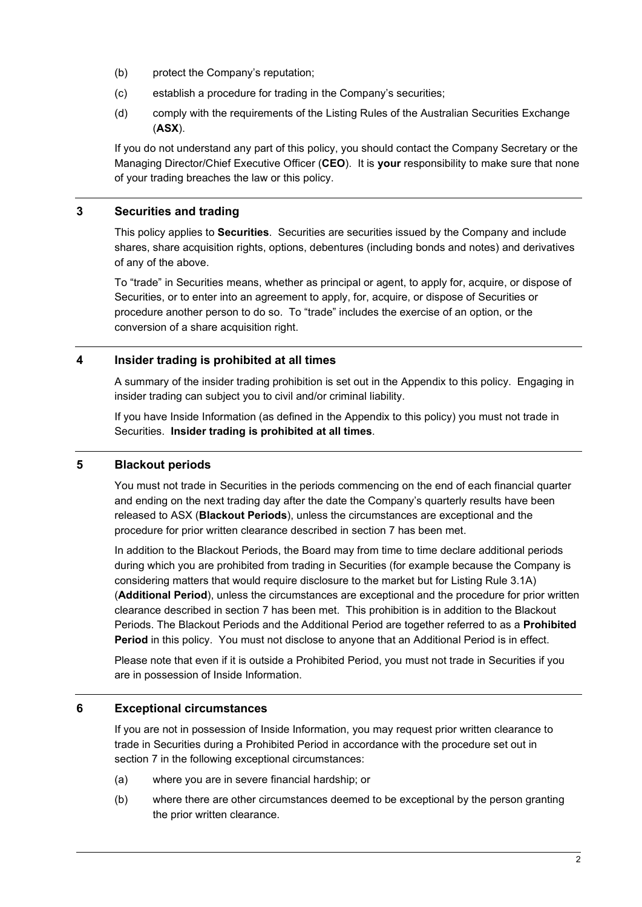- (b) protect the Company's reputation;
- (c) establish a procedure for trading in the Company's securities;
- (d) comply with the requirements of the Listing Rules of the Australian Securities Exchange (**ASX**).

If you do not understand any part of this policy, you should contact the Company Secretary or the Managing Director/Chief Executive Officer (**CEO**). It is **your** responsibility to make sure that none of your trading breaches the law or this policy.

### **3 Securities and trading**

This policy applies to **Securities**. Securities are securities issued by the Company and include shares, share acquisition rights, options, debentures (including bonds and notes) and derivatives of any of the above.

To "trade" in Securities means, whether as principal or agent, to apply for, acquire, or dispose of Securities, or to enter into an agreement to apply, for, acquire, or dispose of Securities or procedure another person to do so. To "trade" includes the exercise of an option, or the conversion of a share acquisition right.

### **4 Insider trading is prohibited at all times**

A summary of the insider trading prohibition is set out in the Appendix to this policy. Engaging in insider trading can subject you to civil and/or criminal liability.

If you have Inside Information (as defined in the Appendix to this policy) you must not trade in Securities. **Insider trading is prohibited at all times**.

### <span id="page-1-1"></span>**5 Blackout periods**

You must not trade in Securities in the periods commencing on the end of each financial quarter and ending on the next trading day after the date the Company's quarterly results have been released to ASX (**Blackout Periods**), unless the circumstances are exceptional and the procedure for prior written clearance described in section [7](#page-2-0) has been met.

In addition to the Blackout Periods, the Board may from time to time declare additional periods during which you are prohibited from trading in Securities (for example because the Company is considering matters that would require disclosure to the market but for Listing Rule 3.1A) (**Additional Period**), unless the circumstances are exceptional and the procedure for prior written clearance described in section [7](#page-2-0) has been met. This prohibition is in addition to the Blackout Periods. The Blackout Periods and the Additional Period are together referred to as a **Prohibited Period** in this policy. You must not disclose to anyone that an Additional Period is in effect.

Please note that even if it is outside a Prohibited Period, you must not trade in Securities if you are in possession of Inside Information.

### <span id="page-1-0"></span>**6 Exceptional circumstances**

If you are not in possession of Inside Information, you may request prior written clearance to trade in Securities during a Prohibited Period in accordance with the procedure set out in section [7](#page-2-0) in the following exceptional circumstances:

- (a) where you are in severe financial hardship; or
- (b) where there are other circumstances deemed to be exceptional by the person granting the prior written clearance.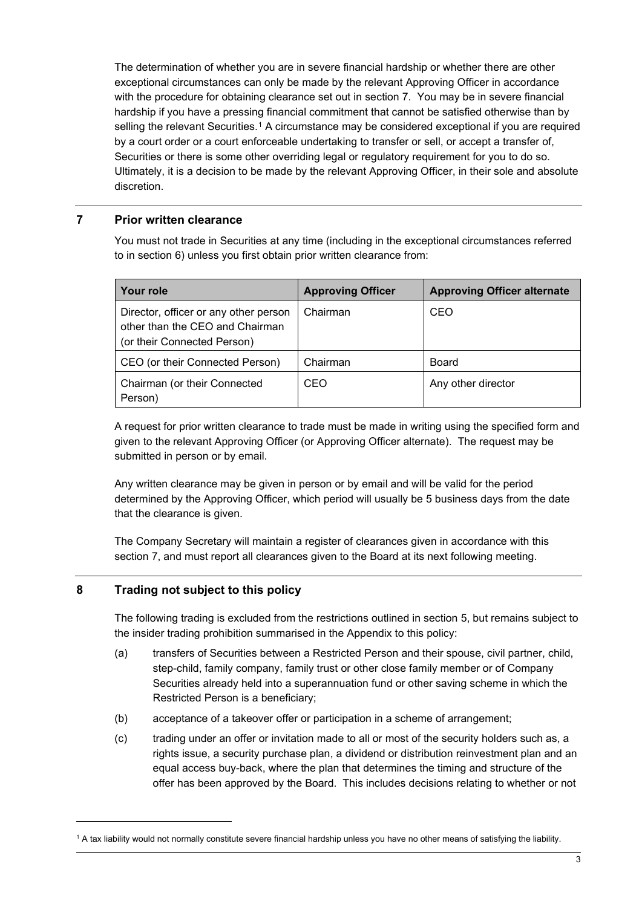The determination of whether you are in severe financial hardship or whether there are other exceptional circumstances can only be made by the relevant Approving Officer in accordance with the procedure for obtaining clearance set out in section [7.](#page-2-0) You may be in severe financial hardship if you have a pressing financial commitment that cannot be satisfied otherwise than by selling the relevant Securities.<sup>[1](#page-2-1)</sup> A circumstance may be considered exceptional if you are required by a court order or a court enforceable undertaking to transfer or sell, or accept a transfer of, Securities or there is some other overriding legal or regulatory requirement for you to do so. Ultimately, it is a decision to be made by the relevant Approving Officer, in their sole and absolute discretion.

### <span id="page-2-0"></span>**7 Prior written clearance**

You must not trade in Securities at any time (including in the exceptional circumstances referred to in section [6\)](#page-1-0) unless you first obtain prior written clearance from:

| Your role                                                                                               | <b>Approving Officer</b> | <b>Approving Officer alternate</b> |
|---------------------------------------------------------------------------------------------------------|--------------------------|------------------------------------|
| Director, officer or any other person<br>other than the CEO and Chairman<br>(or their Connected Person) | Chairman                 | CEO                                |
| CEO (or their Connected Person)                                                                         | Chairman                 | Board                              |
| Chairman (or their Connected<br>Person)                                                                 | CEO                      | Any other director                 |

A request for prior written clearance to trade must be made in writing using the specified form and given to the relevant Approving Officer (or Approving Officer alternate). The request may be submitted in person or by email.

Any written clearance may be given in person or by email and will be valid for the period determined by the Approving Officer, which period will usually be 5 business days from the date that the clearance is given.

The Company Secretary will maintain a register of clearances given in accordance with this section [7,](#page-2-0) and must report all clearances given to the Board at its next following meeting.

### **8 Trading not subject to this policy**

The following trading is excluded from the restrictions outlined in section [5,](#page-1-1) but remains subject to the insider trading prohibition summarised in the Appendix to this policy:

- (a) transfers of Securities between a Restricted Person and their spouse, civil partner, child, step-child, family company, family trust or other close family member or of Company Securities already held into a superannuation fund or other saving scheme in which the Restricted Person is a beneficiary;
- (b) acceptance of a takeover offer or participation in a scheme of arrangement;
- (c) trading under an offer or invitation made to all or most of the security holders such as, a rights issue, a security purchase plan, a dividend or distribution reinvestment plan and an equal access buy-back, where the plan that determines the timing and structure of the offer has been approved by the Board. This includes decisions relating to whether or not

<span id="page-2-1"></span><sup>1</sup> A tax liability would not normally constitute severe financial hardship unless you have no other means of satisfying the liability.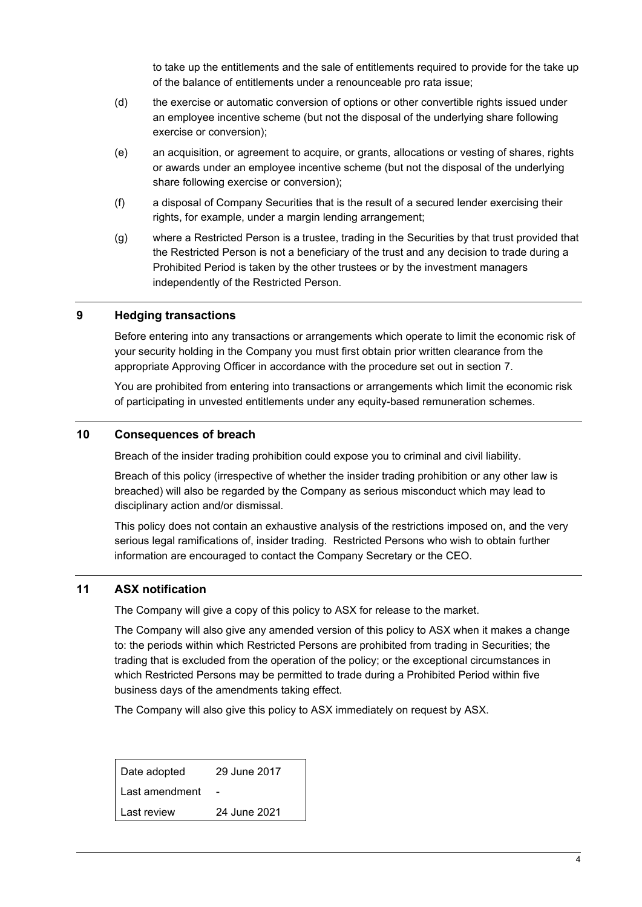to take up the entitlements and the sale of entitlements required to provide for the take up of the balance of entitlements under a renounceable pro rata issue;

- (d) the exercise or automatic conversion of options or other convertible rights issued under an employee incentive scheme (but not the disposal of the underlying share following exercise or conversion);
- (e) an acquisition, or agreement to acquire, or grants, allocations or vesting of shares, rights or awards under an employee incentive scheme (but not the disposal of the underlying share following exercise or conversion);
- (f) a disposal of Company Securities that is the result of a secured lender exercising their rights, for example, under a margin lending arrangement;
- (g) where a Restricted Person is a trustee, trading in the Securities by that trust provided that the Restricted Person is not a beneficiary of the trust and any decision to trade during a Prohibited Period is taken by the other trustees or by the investment managers independently of the Restricted Person.

#### **9 Hedging transactions**

Before entering into any transactions or arrangements which operate to limit the economic risk of your security holding in the Company you must first obtain prior written clearance from the appropriate Approving Officer in accordance with the procedure set out in section [7.](#page-2-0)

You are prohibited from entering into transactions or arrangements which limit the economic risk of participating in unvested entitlements under any equity-based remuneration schemes.

#### **10 Consequences of breach**

Breach of the insider trading prohibition could expose you to criminal and civil liability.

Breach of this policy (irrespective of whether the insider trading prohibition or any other law is breached) will also be regarded by the Company as serious misconduct which may lead to disciplinary action and/or dismissal.

This policy does not contain an exhaustive analysis of the restrictions imposed on, and the very serious legal ramifications of, insider trading. Restricted Persons who wish to obtain further information are encouraged to contact the Company Secretary or the CEO.

#### **11 ASX notification**

The Company will give a copy of this policy to ASX for release to the market.

The Company will also give any amended version of this policy to ASX when it makes a change to: the periods within which Restricted Persons are prohibited from trading in Securities; the trading that is excluded from the operation of the policy; or the exceptional circumstances in which Restricted Persons may be permitted to trade during a Prohibited Period within five business days of the amendments taking effect.

The Company will also give this policy to ASX immediately on request by ASX.

| Date adopted   | 29 June 2017 |
|----------------|--------------|
| Last amendment |              |
| Last review    | 24 June 2021 |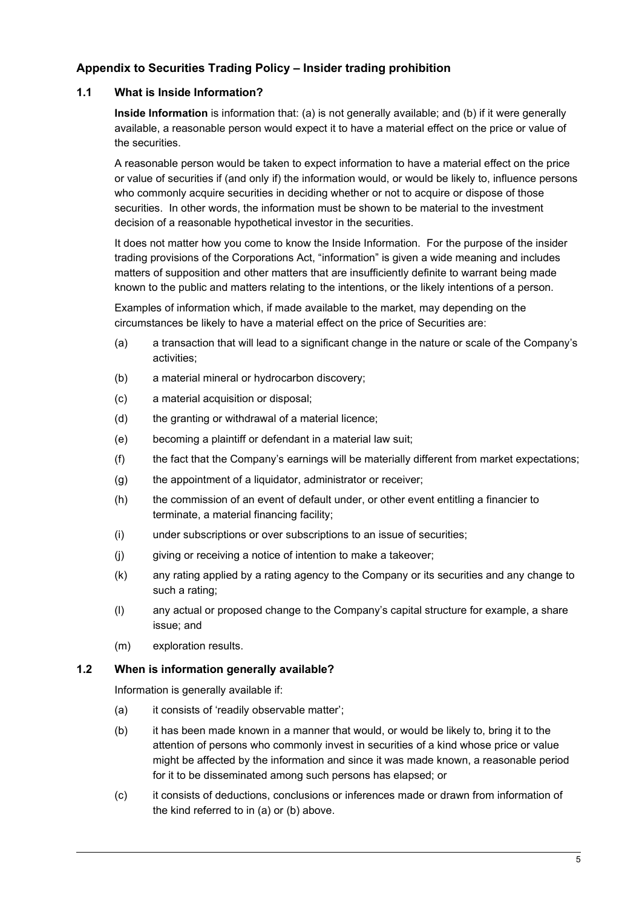## **Appendix to Securities Trading Policy – Insider trading prohibition**

#### **1.1 What is Inside Information?**

**Inside Information** is information that: (a) is not generally available; and (b) if it were generally available, a reasonable person would expect it to have a material effect on the price or value of the securities.

A reasonable person would be taken to expect information to have a material effect on the price or value of securities if (and only if) the information would, or would be likely to, influence persons who commonly acquire securities in deciding whether or not to acquire or dispose of those securities. In other words, the information must be shown to be material to the investment decision of a reasonable hypothetical investor in the securities.

It does not matter how you come to know the Inside Information. For the purpose of the insider trading provisions of the Corporations Act, "information" is given a wide meaning and includes matters of supposition and other matters that are insufficiently definite to warrant being made known to the public and matters relating to the intentions, or the likely intentions of a person.

Examples of information which, if made available to the market, may depending on the circumstances be likely to have a material effect on the price of Securities are:

- (a) a transaction that will lead to a significant change in the nature or scale of the Company's activities;
- (b) a material mineral or hydrocarbon discovery;
- (c) a material acquisition or disposal;
- (d) the granting or withdrawal of a material licence;
- (e) becoming a plaintiff or defendant in a material law suit;
- (f) the fact that the Company's earnings will be materially different from market expectations;
- (g) the appointment of a liquidator, administrator or receiver;
- (h) the commission of an event of default under, or other event entitling a financier to terminate, a material financing facility;
- (i) under subscriptions or over subscriptions to an issue of securities;
- (j) giving or receiving a notice of intention to make a takeover;
- (k) any rating applied by a rating agency to the Company or its securities and any change to such a rating;
- (l) any actual or proposed change to the Company's capital structure for example, a share issue; and
- (m) exploration results.

#### **1.2 When is information generally available?**

Information is generally available if:

- (a) it consists of 'readily observable matter';
- (b) it has been made known in a manner that would, or would be likely to, bring it to the attention of persons who commonly invest in securities of a kind whose price or value might be affected by the information and since it was made known, a reasonable period for it to be disseminated among such persons has elapsed; or
- (c) it consists of deductions, conclusions or inferences made or drawn from information of the kind referred to in (a) or (b) above.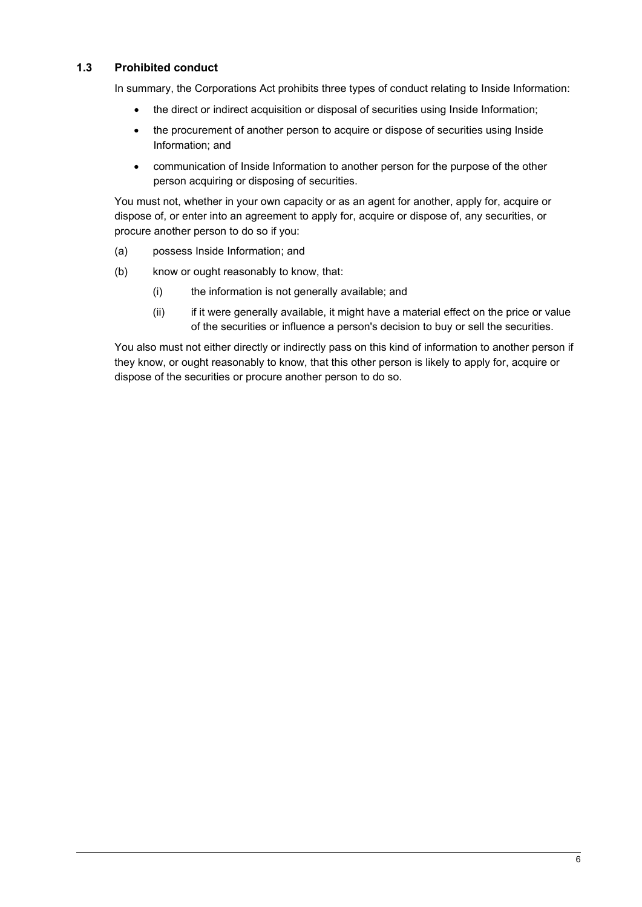#### **1.3 Prohibited conduct**

In summary, the Corporations Act prohibits three types of conduct relating to Inside Information:

- the direct or indirect acquisition or disposal of securities using Inside Information;
- the procurement of another person to acquire or dispose of securities using Inside Information; and
- communication of Inside Information to another person for the purpose of the other person acquiring or disposing of securities.

You must not, whether in your own capacity or as an agent for another, apply for, acquire or dispose of, or enter into an agreement to apply for, acquire or dispose of, any securities, or procure another person to do so if you:

- (a) possess Inside Information; and
- (b) know or ought reasonably to know, that:
	- (i) the information is not generally available; and
	- (ii) if it were generally available, it might have a material effect on the price or value of the securities or influence a person's decision to buy or sell the securities.

You also must not either directly or indirectly pass on this kind of information to another person if they know, or ought reasonably to know, that this other person is likely to apply for, acquire or dispose of the securities or procure another person to do so.